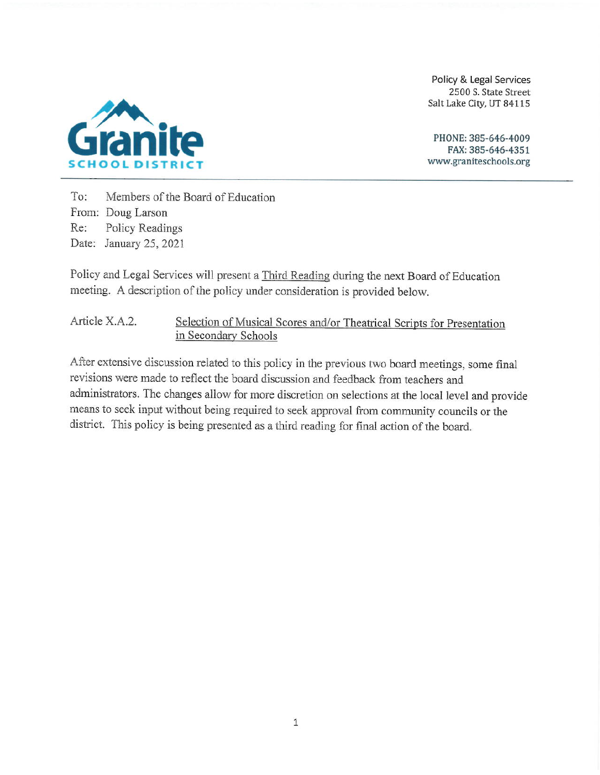Policy & Legal Services 2500 S. State Street Salt Lake City, UT 84115



PHONE: 385-646-4009 FAX: 385-646-4351 www.graniteschools.org

Members of the Board of Education  $To:$ From: Doug Larson Re: Policy Readings Date: January 25, 2021

Policy and Legal Services will present a Third Reading during the next Board of Education meeting. A description of the policy under consideration is provided below.

Article X.A.2. Selection of Musical Scores and/or Theatrical Scripts for Presentation in Secondary Schools

After extensive discussion related to this policy in the previous two board meetings, some final revisions were made to reflect the board discussion and feedback from teachers and administrators. The changes allow for more discretion on selections at the local level and provide means to seek input without being required to seek approval from community councils or the district. This policy is being presented as a third reading for final action of the board.